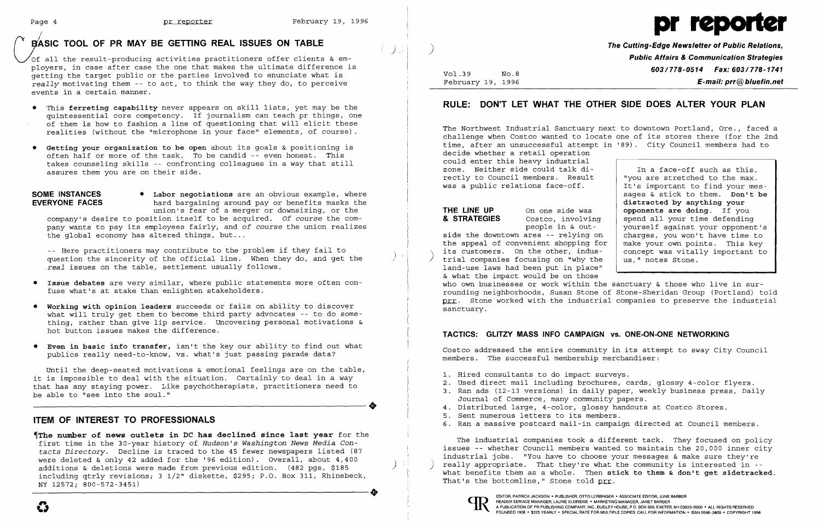# **EXASIC TOOL OF PR MAY BE GETTING REAL ISSUES ON TABLE**



The Cutting-Edge Newsletter of Public Relations,<br>Public Affairs & Communication Strategies **603/778-0514 Fax: 603/778-1741**<br>February 19, 1996 February 19, 1996 E-mail: prr@bluefin.net

Of all the result-producing activities practitioners offer clients & em **Public Affairs & Communication Strategies**  ployers, in case after case the one that makes the ultimate difference is getting the target public or the parties involved to enunciate what is *really* motivating them -- to act, to think the way they do, to perceive events in a certain manner.

- • This **ferreting capability** never appears on skill lists, yet may be the quintessential core competency. If journalism can teach pr things, one of them is how to fashion a line of questioning that will elicit these realities (without the "microphone in your face" elements, of course) .
- **• Getting your organization to be open** about its goals & positioning is often half or more of the task. To be candid -- even honest. This takes counseling skills -- confronting colleagues in a way that still assures them you are on their side.

**SOME INSTANCES** • Labor negotiations are an obvious example, where<br>**EVERYONE FACES bard bargaining around pay or benefits masks the** hard bargaining around pay or benefits masks the union's fear of a merger or downsizing, or the company's desire to position itself to be acquired. Of course the company wants to pay its employees fairly, and of course the union realizes the global economy has altered things, but...

~The **number of news outlets in DC has declined since last year** for the first time in the 30-year history of *Hudson's Washington News Media Con tacts Directory.* Decline is traced to the 45 fewer newspapers listed (87 were deleted  $\kappa$  only 42 added for the '96 edition). Overall, about 4,400 additions & deletions were made from previous edition. (482 pgs, \$185 including qtrly revisions; 3 1/2" diskette, \$295; P.O. Box 311, Rhinebeck, NY 12572; 800-572-3451) Finding dtrly revisions; 3 1/2" diskette, \$295; P.O. Box 311, Rhinebeck,<br>NY 12572; 800-572-3451)<br>NY 12572; 800-572-3451)<br>NY 12572; 800-572-3451)<br>Newspaper in the state of the state of the state of the state of the state of

-- Here practitioners may contribute to the problem if they fail to question the sincerity of the official line. When they do, and get the *real* issues on the table, settlement usually follows.

The Northwest Industrial Sanctuary next to downtown Portland, Ore., faced a challenge when Costco wanted to locate one of its stores there (for the 2nd time, after an unsuccessful attempt in '89). City Council members had to decide whether a retail operation could enter this heavy industrial zone. Neither side could talk di-<br>  $\begin{array}{|l|} \hline \end{array}$  In a face-off such as this,<br>
rectly to Council members. Result  $\begin{array}{c|c} \hline \end{array}$  "you are stretched to the max. rectly to Council members. Result  $\begin{array}{c|c} \n\end{array}$  "you are stretched to the max.<br>was a public relations face-off. It's important to find your meswas a public relations face-off.

**& STRATEGIES** Costco, involving<br>people in & out-**THE LINE UP** On one side was

sages & stick to them. **Don't be distracted by anything your opponents are doing.** If you spend all your time defending yourself against your opponent's<br>charges, you won't have time to

- **• Issue debates** are very similar, where public statements more often con fuse what's at stake than enlighten stakeholders.
- **• Working with opinion leaders** succeeds or fails on ability to discover what will truly get them to become third party advocates -- to do something, rather than give lip service. Uncovering personal motivations & hot button issues makes the difference.
- **• Even in basic info transfer,** isn't the key our ability to find out what publics really need-to-know, vs. what's just passing parade data?

side the downtown area -- relying on  $\vert$  charges, you won't have time to the appeal of convenient shopping for  $\vert$  make your own points. This key the appeal of convenient shopping for  $\vert$  make your own points. This key its customers. On the other, indusits customers. On the other, indus-<br>trial companies focusing on "why the  $\begin{array}{|l|l|}\n\hline\n\end{array}$  us," notes Stone. trial companies focusing on "why the land-use laws had been put in place" & what the impact would be on those who own businesses or work within the sanctuary & those who live in surrounding neighborhoods, Susan Stone of Stone-Sheridan Group (Portland) told prr. Stone worked with the industrial companies to preserve the industrial sanctuary.

Until the deep-seated motivations & emotional feelings are on the table, it is impossible to deal with the situation. Certainly to deal in a way that has any staying power. Like psychotherapists, practitioners need to ----------------------+ be able to "see into the soul."

### **ITEM OF INTEREST TO PROFESSIONALS**

- 1. Hired consultants to do impact surveys.
- 2. Used direct mail including brochures, cards, glossy 4-color flyers.
- Journal of Commerce, many community papers.
- 4. Distributed large, 4-color, glossy handouts at Costco Stores.
- 5. Sent numerous letters to its members.
- 

The industrial companies took a different tack. They focused on policy issues -- whether Council members wanted to maintain the 20,000 inner city industrial jobs. "You have to choose your messages & make sure they're really appropriate. That they're what the community is interested in  $$ what benefits them as a whole. Then **stick to them & don't get sidetracked.**  That's the bottomline," Stone told prr.



## **RULE: DON'T LET WHAT THE OTHER SIDE DOES ALTER YOUR PLAN**

### **TACTICS: GLITZY MASS INFO CAMPAIGN vs. ONE-ON-ONE NETWORKING**

Costco addressed the entire community in its attempt to sway City Council members. The successful membership merchandiser:

3. Ran ads (12-13 versions) in daily paper, weekly business press, Daily 6. Ran a massive postcard mail-in campaign directed at Council members.